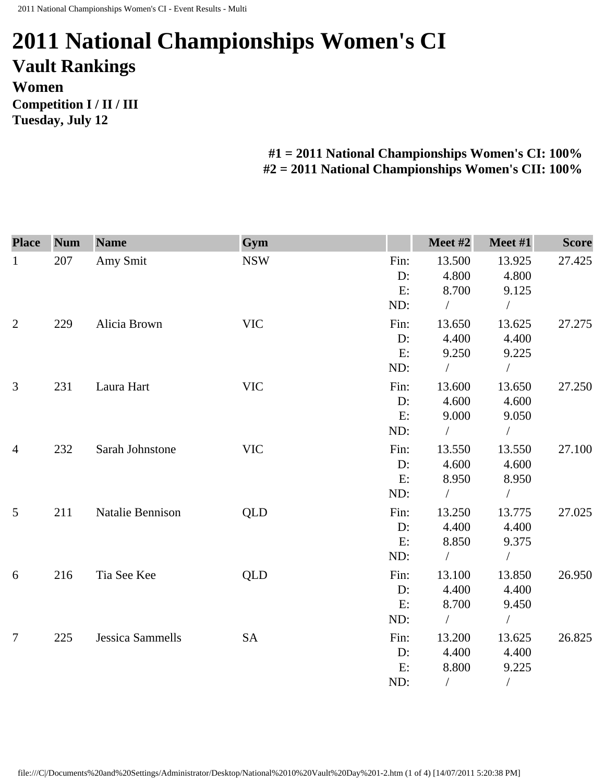## **2011 National Championships Women's CI Vault Rankings Women Competition I / II / III Tuesday, July 12**

## **#1 = 2011 National Championships Women's CI: 100% #2 = 2011 National Championships Women's CII: 100%**

| <b>Place</b>   | <b>Num</b> | <b>Name</b>             | Gym        |       | Meet #2       | Meet #1       | <b>Score</b> |
|----------------|------------|-------------------------|------------|-------|---------------|---------------|--------------|
| $\mathbf{1}$   | 207        | Amy Smit                | <b>NSW</b> | Fin:  | 13.500        | 13.925        | 27.425       |
|                |            |                         |            | D:    | 4.800         | 4.800         |              |
|                |            |                         |            | E:    | 8.700         | 9.125         |              |
|                |            |                         |            | ND:   | $\sqrt{2}$    | $\frac{1}{2}$ |              |
| $\overline{2}$ | 229        | Alicia Brown            | <b>VIC</b> | Fin:  | 13.650        | 13.625        | 27.275       |
|                |            |                         |            | $D$ : | 4.400         | 4.400         |              |
|                |            |                         |            | E:    | 9.250         | 9.225         |              |
|                |            |                         |            | ND:   | $\sqrt{2}$    | $\frac{1}{2}$ |              |
| 3              | 231        | Laura Hart              | <b>VIC</b> | Fin:  | 13.600        | 13.650        | 27.250       |
|                |            |                         |            | D:    | 4.600         | 4.600         |              |
|                |            |                         |            | E:    | 9.000         | 9.050         |              |
|                |            |                         |            | ND:   | $\sqrt{2}$    | $\sqrt{2}$    |              |
| $\overline{4}$ | 232        | Sarah Johnstone         | <b>VIC</b> | Fin:  | 13.550        | 13.550        | 27.100       |
|                |            |                         |            | D:    | 4.600         | 4.600         |              |
|                |            |                         |            | E:    | 8.950         | 8.950         |              |
|                |            |                         |            | ND:   | $\sqrt{2}$    | $\sqrt{2}$    |              |
| 5              | 211        | Natalie Bennison        | <b>QLD</b> | Fin:  | 13.250        | 13.775        | 27.025       |
|                |            |                         |            | D:    | 4.400         | 4.400         |              |
|                |            |                         |            | E:    | 8.850         | 9.375         |              |
|                |            |                         |            | ND:   | $\frac{1}{2}$ | $\sqrt{2}$    |              |
| 6              | 216        | Tia See Kee             | <b>QLD</b> | Fin:  | 13.100        | 13.850        | 26.950       |
|                |            |                         |            | $D$ : | 4.400         | 4.400         |              |
|                |            |                         |            | E:    | 8.700         | 9.450         |              |
|                |            |                         |            | ND:   | $\sqrt{2}$    | $\bigg)$      |              |
| $\overline{7}$ | 225        | <b>Jessica Sammells</b> | <b>SA</b>  | Fin:  | 13.200        | 13.625        | 26.825       |
|                |            |                         |            | D:    | 4.400         | 4.400         |              |
|                |            |                         |            | E:    | 8.800         | 9.225         |              |
|                |            |                         |            | ND:   | $\sqrt{2}$    | $\sqrt{2}$    |              |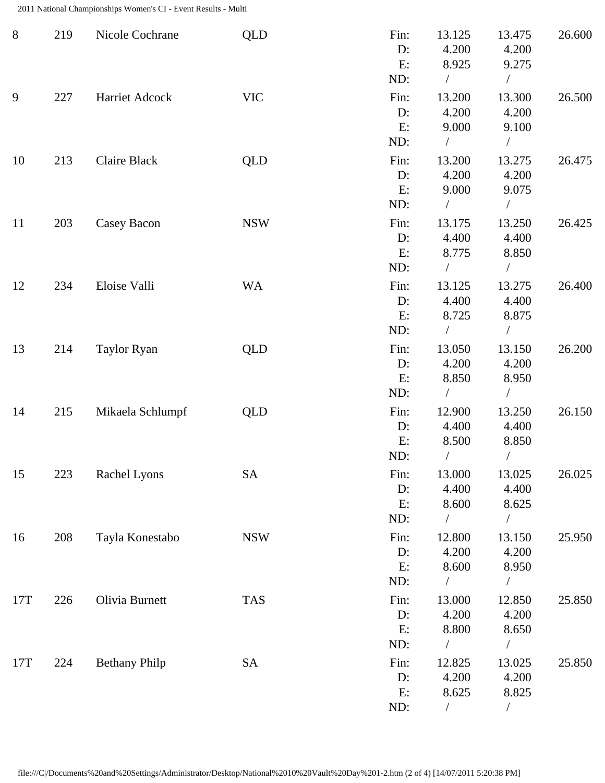2011 National Championships Women's CI - Event Results - Multi

| $8\,$ | 219 | Nicole Cochrane      | <b>QLD</b> | Fin:<br>D:<br>E:<br>ND:    | 13.125<br>4.200<br>8.925<br>$\sqrt{2}$ | 13.475<br>4.200<br>9.275<br>$\sqrt{2}$    | 26.600 |
|-------|-----|----------------------|------------|----------------------------|----------------------------------------|-------------------------------------------|--------|
| 9     | 227 | Harriet Adcock       | <b>VIC</b> | Fin:<br>$D$ :<br>E:<br>ND: | 13.200<br>4.200<br>9.000<br>$\sqrt{2}$ | 13.300<br>4.200<br>9.100<br>$\sqrt{2}$    | 26.500 |
| 10    | 213 | Claire Black         | QLD        | Fin:<br>D:<br>E:<br>ND:    | 13.200<br>4.200<br>9.000<br>$\sqrt{2}$ | 13.275<br>4.200<br>9.075<br>$\sqrt{2}$    | 26.475 |
| 11    | 203 | Casey Bacon          | <b>NSW</b> | Fin:<br>D:<br>E:<br>ND:    | 13.175<br>4.400<br>8.775<br>$\sqrt{2}$ | 13.250<br>4.400<br>8.850<br>$\frac{1}{2}$ | 26.425 |
| 12    | 234 | Eloise Valli         | <b>WA</b>  | Fin:<br>D:<br>E:<br>ND:    | 13.125<br>4.400<br>8.725<br>$\sqrt{2}$ | 13.275<br>4.400<br>8.875<br>$\sqrt{2}$    | 26.400 |
| 13    | 214 | <b>Taylor Ryan</b>   | <b>QLD</b> | Fin:<br>D:<br>E:<br>ND:    | 13.050<br>4.200<br>8.850<br>$\sqrt{2}$ | 13.150<br>4.200<br>8.950<br>$\sqrt{2}$    | 26.200 |
| 14    | 215 | Mikaela Schlumpf     | <b>QLD</b> | Fin:<br>D:<br>E:<br>ND:    | 12.900<br>4.400<br>8.500               | 13.250<br>4.400<br>8.850                  | 26.150 |
| 15    | 223 | Rachel Lyons         | <b>SA</b>  | Fin:<br>D:<br>E:<br>ND:    | 13.000<br>4.400<br>8.600<br>$\sqrt{2}$ | 13.025<br>4.400<br>8.625<br>$\sqrt{2}$    | 26.025 |
| 16    | 208 | Tayla Konestabo      | <b>NSW</b> | Fin:<br>$D$ :<br>E:<br>ND: | 12.800<br>4.200<br>8.600               | 13.150<br>4.200<br>8.950                  | 25.950 |
| 17T   | 226 | Olivia Burnett       | <b>TAS</b> | Fin:<br>D:<br>E:<br>ND:    | 13.000<br>4.200<br>8.800               | 12.850<br>4.200<br>8.650<br>$\sqrt{2}$    | 25.850 |
| 17T   | 224 | <b>Bethany Philp</b> | <b>SA</b>  | Fin:<br>D:<br>E:<br>ND:    | 12.825<br>4.200<br>8.625               | 13.025<br>4.200<br>8.825<br>$\sqrt{2}$    | 25.850 |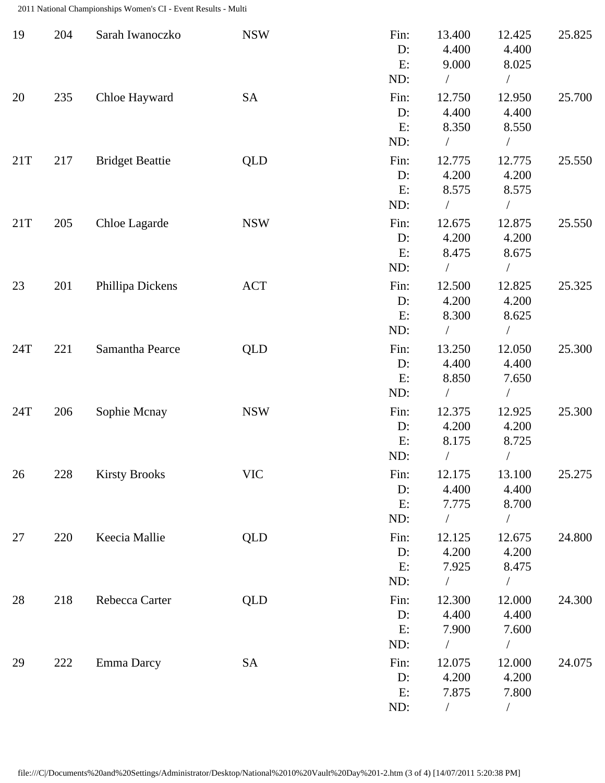2011 National Championships Women's CI - Event Results - Multi

| 19  | 204 | Sarah Iwanoczko        | <b>NSW</b> | Fin:<br>D:<br>E:               | 13.400<br>4.400<br>9.000                             | 12.425<br>4.400<br>8.025                             | 25.825 |
|-----|-----|------------------------|------------|--------------------------------|------------------------------------------------------|------------------------------------------------------|--------|
| 20  | 235 | Chloe Hayward          | SA         | ND:<br>Fin:<br>D:<br>E:<br>ND: | 12.750<br>4.400<br>8.350                             | $\sqrt{2}$<br>12.950<br>4.400<br>8.550               | 25.700 |
| 21T | 217 | <b>Bridget Beattie</b> | <b>QLD</b> | Fin:<br>D:<br>E:<br>ND:        | 12.775<br>4.200<br>8.575                             | 12.775<br>4.200<br>8.575                             | 25.550 |
| 21T | 205 | Chloe Lagarde          | <b>NSW</b> | Fin:<br>D:<br>E:<br>ND:        | 12.675<br>4.200<br>8.475<br>$\frac{1}{2}$            | 12.875<br>4.200<br>8.675<br>$\overline{\phantom{a}}$ | 25.550 |
| 23  | 201 | Phillipa Dickens       | <b>ACT</b> | Fin:<br>D:<br>E:<br>ND:        | 12.500<br>4.200<br>8.300                             | 12.825<br>4.200<br>8.625                             | 25.325 |
| 24T | 221 | Samantha Pearce        | QLD        | Fin:<br>D:<br>E:<br>ND:        | 13.250<br>4.400<br>8.850                             | 12.050<br>4.400<br>7.650                             | 25.300 |
| 24T | 206 | Sophie Mcnay           | <b>NSW</b> | Fin:<br>D:<br>E:<br>ND:        | 12.375<br>4.200<br>8.175                             | 12.925<br>4.200<br>8.725                             | 25.300 |
| 26  | 228 | <b>Kirsty Brooks</b>   | <b>VIC</b> | Fin:<br>D:<br>E:<br>ND:        | 12.175<br>4.400<br>7.775<br>$\sqrt{2}$               | 13.100<br>4.400<br>8.700<br>$\sqrt{2}$               | 25.275 |
| 27  | 220 | Keecia Mallie          | QLD        | Fin:<br>$D$ :<br>E:            | 12.125<br>4.200<br>7.925<br>$\sqrt{2}$               | 12.675<br>4.200<br>8.475                             | 24.800 |
| 28  | 218 | Rebecca Carter         | <b>QLD</b> | ND:<br>Fin:<br>$D$ :<br>E:     | 12.300<br>4.400<br>7.900                             | $\sqrt{2}$<br>12.000<br>4.400<br>7.600               | 24.300 |
| 29  | 222 | Emma Darcy             | <b>SA</b>  | ND:<br>Fin:<br>D:<br>E:<br>ND: | $\sqrt{2}$<br>12.075<br>4.200<br>7.875<br>$\sqrt{2}$ | $\sqrt{2}$<br>12.000<br>4.200<br>7.800<br>$\sqrt{2}$ | 24.075 |